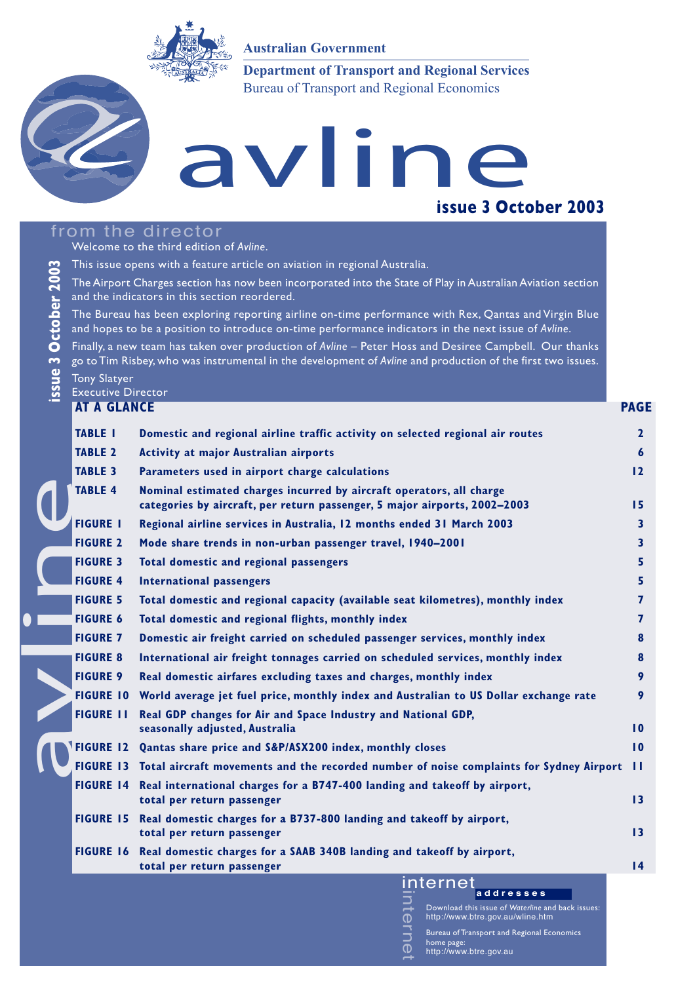

**Australian Government**

Bureau of Transport and Regional Economics **Department of Transport and Regional Services**

# avline **issue 3 October 2003**

#### from the director

Welcome to the third edition of *Avline*.

This issue opens with a feature article on aviation in regional Australia.

The Airport Charges section has now been incorporated into the State of Play in Australian Aviation section and the indicators in this section reordered.

The Bureau has been exploring reporting airline on-time performance with Rex, Qantas and Virgin Blue and hopes to be a position to introduce on-time performance indicators in the next issue of *Avline*.

Finally, a new team has taken over production of *Avline* – Peter Hoss and Desiree Campbell. Our thanks go to Tim Risbey, who was instrumental in the development of *Avline* and production of the first two issues.

Tony Slatyer Executive Director

| <b>AT A GLANCE</b> |                                                                                                                                                                                                                                                 | <b>PAGE</b>     |
|--------------------|-------------------------------------------------------------------------------------------------------------------------------------------------------------------------------------------------------------------------------------------------|-----------------|
| <b>TABLE I</b>     | Domestic and regional airline traffic activity on selected regional air routes                                                                                                                                                                  | $\mathbf{2}$    |
| <b>TABLE 2</b>     | <b>Activity at major Australian airports</b>                                                                                                                                                                                                    | 6               |
| <b>TABLE 3</b>     | Parameters used in airport charge calculations                                                                                                                                                                                                  | 12              |
| <b>TABLE 4</b>     | Nominal estimated charges incurred by aircraft operators, all charge<br>categories by aircraft, per return passenger, 5 major airports, 2002-2003                                                                                               | 15              |
| <b>FIGURE I</b>    | Regional airline services in Australia, 12 months ended 31 March 2003                                                                                                                                                                           | 3               |
| <b>FIGURE 2</b>    | Mode share trends in non-urban passenger travel, 1940-2001                                                                                                                                                                                      | 3               |
| <b>FIGURE 3</b>    | Total domestic and regional passengers                                                                                                                                                                                                          | 5.              |
| <b>FIGURE 4</b>    | <b>International passengers</b>                                                                                                                                                                                                                 | 5               |
| <b>FIGURE 5</b>    | Total domestic and regional capacity (available seat kilometres), monthly index                                                                                                                                                                 | $\mathbf{7}$    |
| <b>FIGURE 6</b>    | Total domestic and regional flights, monthly index                                                                                                                                                                                              | 7               |
| <b>FIGURE 7</b>    | Domestic air freight carried on scheduled passenger services, monthly index                                                                                                                                                                     | 8               |
| <b>FIGURE 8</b>    | International air freight tonnages carried on scheduled services, monthly index                                                                                                                                                                 | 8               |
| <b>FIGURE 9</b>    | Real domestic airfares excluding taxes and charges, monthly index                                                                                                                                                                               | 9               |
|                    | FIGURE 10 World average jet fuel price, monthly index and Australian to US Dollar exchange rate                                                                                                                                                 | 9               |
| <b>FIGURE 11</b>   | Real GDP changes for Air and Space Industry and National GDP,<br>seasonally adjusted, Australia                                                                                                                                                 | $\mathbf{10}$   |
|                    | FIGURE 12 Qantas share price and S&P/ASX200 index, monthly closes                                                                                                                                                                               | $\overline{10}$ |
|                    | FIGURE 13 Total aircraft movements and the recorded number of noise complaints for Sydney Airport 11                                                                                                                                            |                 |
|                    | FIGURE 14 Real international charges for a B747-400 landing and takeoff by airport,<br>total per return passenger                                                                                                                               | 13              |
|                    | FIGURE 15 Real domestic charges for a B737-800 landing and takeoff by airport,<br>total per return passenger                                                                                                                                    | 13              |
|                    | FIGURE 16 Real domestic charges for a SAAB 340B landing and takeoff by airport,<br>total per return passenger                                                                                                                                   | 4               |
|                    | <u>internet</u><br>addresses<br>Download this issue of Waterline and back issues:<br>http://www.btre.gov.au/wline.htm<br><u> ጥ</u><br>Bureau of Transport and Regional Economics<br>home page:<br>$\boldsymbol{\Phi}$<br>http://www.btre.gov.au |                 |

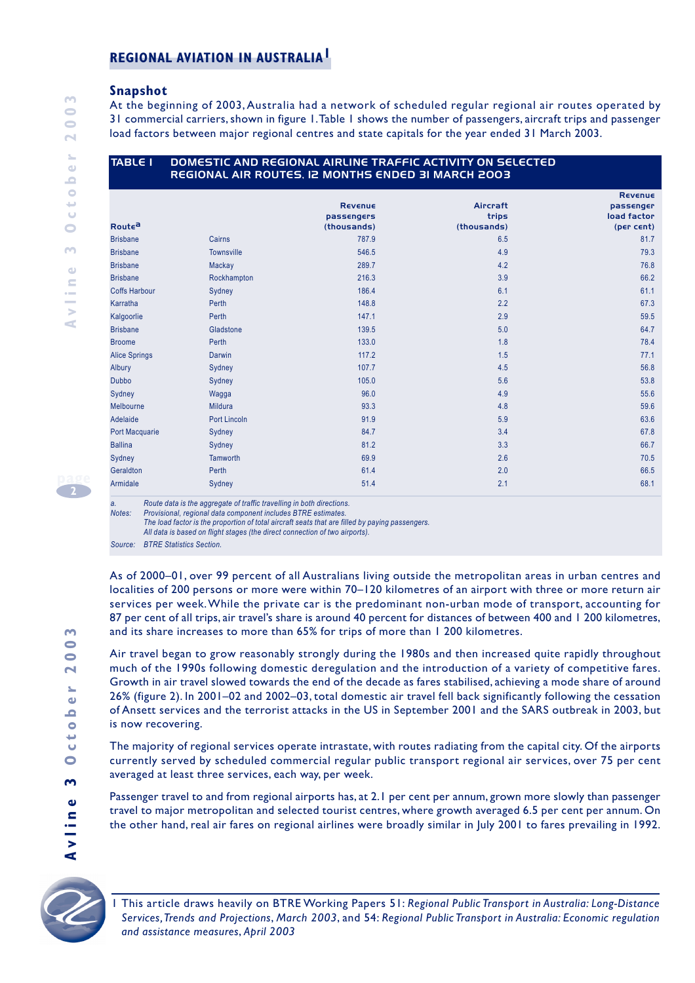#### **REGIONAL AVIATION IN AUSTRALIA1**

#### **Snapshot**

At the beginning of 2003,Australia had a network of scheduled regular regional air routes operated by 31 commercial carriers, shown in figure 1.Table 1 shows the number of passengers, aircraft trips and passenger load factors between major regional centres and state capitals for the year ended 31 March 2003.

| ٧<br>u. |  |
|---------|--|
|         |  |

#### LE I DOMESTIC AND REGIONAL AIRLINE TRAFFIC ACTIVITY ON SELECTED REGIONAL AIR ROUTES, 12 MONTHS ENDED 31 MARCH 2003

|                       |                   |                           |                      | <b>Revenue</b>            |
|-----------------------|-------------------|---------------------------|----------------------|---------------------------|
|                       |                   | Revenue                   | Aircraft             | passenger                 |
| Route <sup>a</sup>    |                   | passengers<br>(thousands) | trips<br>(thousands) | load factor<br>(per cent) |
|                       |                   |                           |                      |                           |
| <b>Brisbane</b>       | Cairns            | 787.9                     | 6.5                  | 81.7                      |
| <b>Brisbane</b>       | <b>Townsville</b> | 546.5                     | 4.9                  | 79.3                      |
| <b>Brisbane</b>       | Mackay            | 289.7                     | 4.2                  | 76.8                      |
| <b>Brisbane</b>       | Rockhampton       | 216.3                     | 3.9                  | 66.2                      |
| <b>Coffs Harbour</b>  | Sydney            | 186.4                     | 6.1                  | 61.1                      |
| Karratha              | Perth             | 148.8                     | 2.2                  | 67.3                      |
| Kalgoorlie            | Perth             | 147.1                     | 2.9                  | 59.5                      |
| <b>Brisbane</b>       | Gladstone         | 139.5                     | 5.0                  | 64.7                      |
| <b>Broome</b>         | Perth             | 133.0                     | 1.8                  | 78.4                      |
| <b>Alice Springs</b>  | Darwin            | 117.2                     | 1.5                  | 77.1                      |
| Albury                | Sydney            | 107.7                     | 4.5                  | 56.8                      |
| <b>Dubbo</b>          | Sydney            | 105.0                     | 5.6                  | 53.8                      |
| Sydney                | Wagga             | 96.0                      | 4.9                  | 55.6                      |
| Melbourne             | Mildura           | 93.3                      | 4.8                  | 59.6                      |
| Adelaide              | Port Lincoln      | 91.9                      | 5.9                  | 63.6                      |
| <b>Port Macquarie</b> | Sydney            | 84.7                      | 3.4                  | 67.8                      |
| <b>Ballina</b>        | Sydney            | 81.2                      | 3.3                  | 66.7                      |
| Sydney                | <b>Tamworth</b>   | 69.9                      | 2.6                  | 70.5                      |
| Geraldton             | Perth             | 61.4                      | 2.0                  | 66.5                      |
| Armidale              | Sydney            | 51.4                      | 2.1                  | 68.1                      |
|                       |                   |                           |                      |                           |



*a. Route data is the aggregate of traffic travelling in both directions.*

*Notes: Provisional, regional data component includes BTRE estimates.*

*The load factor is the proportion of total aircraft seats that are filled by paying passengers. All data is based on flight stages (the direct connection of two airports).* 

*Source: BTRE Statistics Section.*

As of 2000–01, over 99 percent of all Australians living outside the metropolitan areas in urban centres and localities of 200 persons or more were within 70–120 kilometres of an airport with three or more return air services per week.While the private car is the predominant non-urban mode of transport, accounting for 87 per cent of all trips, air travel's share is around 40 percent for distances of between 400 and 1 200 kilometres, and its share increases to more than 65% for trips of more than 1 200 kilometres.

**Avline 3 October 2003 Avline 3 October 2003** m  $\bullet$  $\bullet$  $\overline{\mathbf{N}}$  $\overline{\phantom{a}}$  $\omega$  $\bullet$  $\bullet$ پ  $\ddot{\mathbf{C}}$  $\bullet$  $\sim$  $\bullet$ Avlin

Air travel began to grow reasonably strongly during the 1980s and then increased quite rapidly throughout much of the 1990s following domestic deregulation and the introduction of a variety of competitive fares. Growth in air travel slowed towards the end of the decade as fares stabilised, achieving a mode share of around 26% (figure 2). In 2001–02 and 2002–03, total domestic air travel fell back significantly following the cessation of Ansett services and the terrorist attacks in the US in September 2001 and the SARS outbreak in 2003, but is now recovering.

The majority of regional services operate intrastate, with routes radiating from the capital city. Of the airports currently served by scheduled commercial regular public transport regional air services, over 75 per cent averaged at least three services, each way, per week.

Passenger travel to and from regional airports has, at 2.1 per cent per annum, grown more slowly than passenger travel to major metropolitan and selected tourist centres, where growth averaged 6.5 per cent per annum. On the other hand, real air fares on regional airlines were broadly similar in July 2001 to fares prevailing in 1992.



1 This article draws heavily on BTRE Working Papers 51: *Regional Public Transport in Australia: Long-Distance Services,Trends and Projections*, *March 2003*, and 54: *Regional Public Transport in Australia: Economic regulation and assistance measures*, *April 2003*

Ċ.

m  $\bullet$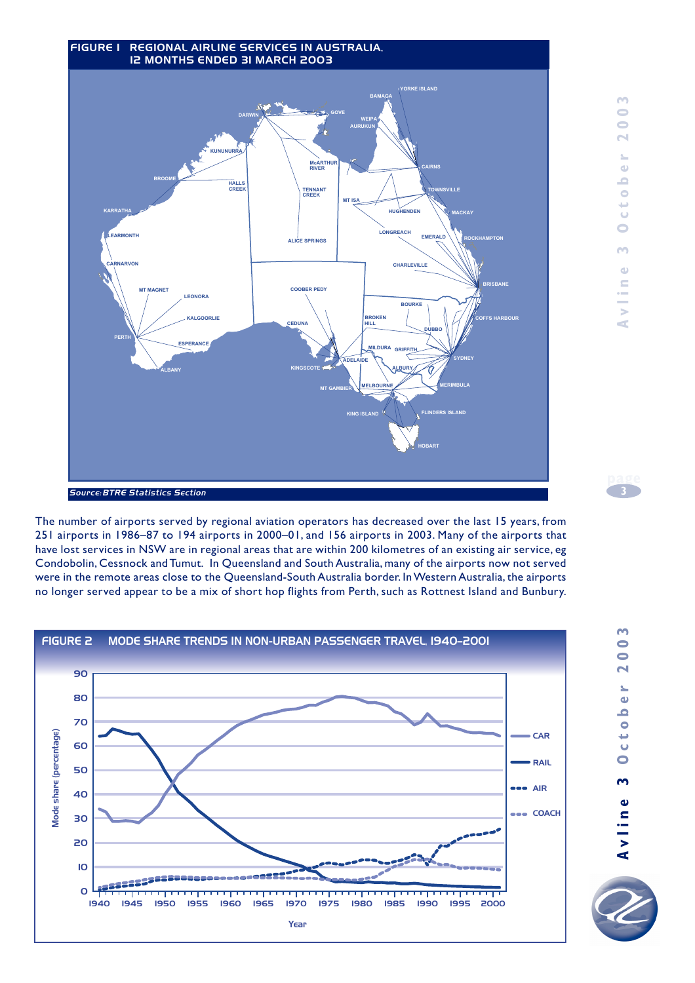

 $\sim$  $\bullet$ 

**page <sup>3</sup>**

The number of airports served by regional aviation operators has decreased over the last 15 years, from 251 airports in 1986–87 to 194 airports in 2000–01, and 156 airports in 2003. Many of the airports that have lost services in NSW are in regional areas that are within 200 kilometres of an existing air service, eg Condobolin, Cessnock and Tumut. In Queensland and South Australia, many of the airports now not served were in the remote areas close to the Queensland-South Australia border. In Western Australia, the airports no longer served appear to be a mix of short hop flights from Perth, such as Rottnest Island and Bunbury.



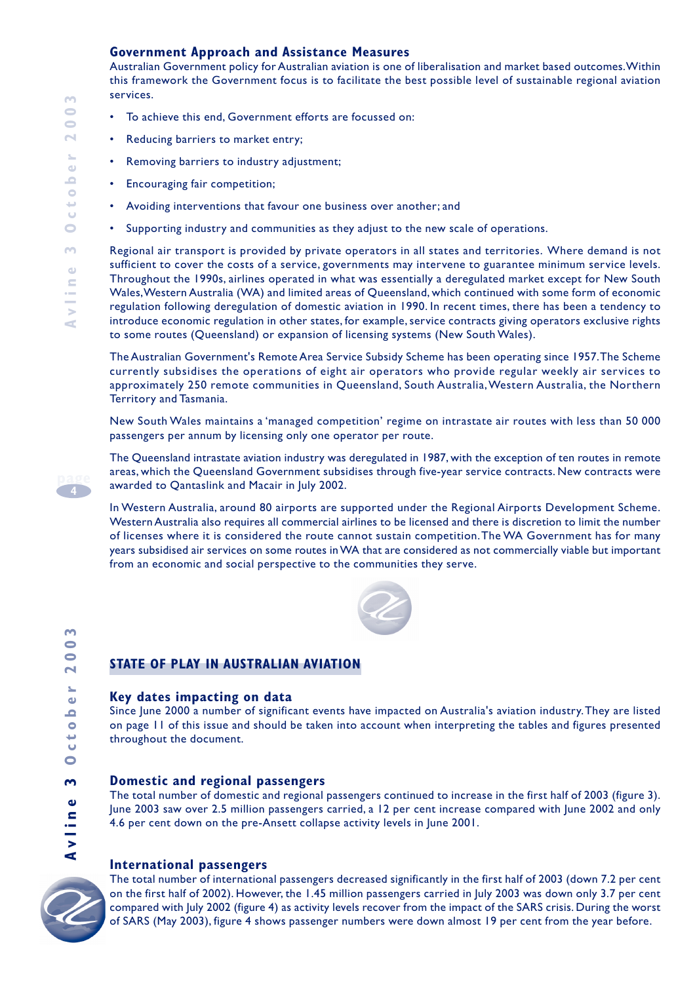#### **Government Approach and Assistance Measures**

Australian Government policy for Australian aviation is one of liberalisation and market based outcomes.Within this framework the Government focus is to facilitate the best possible level of sustainable regional aviation services.

- To achieve this end, Government efforts are focussed on:
- Reducing barriers to market entry;
- Removing barriers to industry adjustment;
- Encouraging fair competition;
- Avoiding interventions that favour one business over another; and
- Supporting industry and communities as they adjust to the new scale of operations.

Regional air transport is provided by private operators in all states and territories. Where demand is not sufficient to cover the costs of a service, governments may intervene to guarantee minimum service levels. Throughout the 1990s, airlines operated in what was essentially a deregulated market except for New South Wales,Western Australia (WA) and limited areas of Queensland, which continued with some form of economic regulation following deregulation of domestic aviation in 1990. In recent times, there has been a tendency to introduce economic regulation in other states, for example, service contracts giving operators exclusive rights to some routes (Queensland) or expansion of licensing systems (New South Wales).

The Australian Government's Remote Area Service Subsidy Scheme has been operating since 1957.The Scheme currently subsidises the operations of eight air operators who provide regular weekly air services to approximately 250 remote communities in Queensland, South Australia,Western Australia, the Northern Territory and Tasmania.

New South Wales maintains a 'managed competition' regime on intrastate air routes with less than 50 000 passengers per annum by licensing only one operator per route.



 $\sim$  $\bullet$  $\bullet$  $\sim$ S.  $\ddot{\bullet}$ م  $\bullet$ فتناه  $\cup$  $\bullet$  $\sim$  $\bullet$ 

 $v \lim_{\lambda \to 0}$ 

 $\leq$ 

The Queensland intrastate aviation industry was deregulated in 1987, with the exception of ten routes in remote areas, which the Queensland Government subsidises through five-year service contracts. New contracts were awarded to Qantaslink and Macair in July 2002.

In Western Australia, around 80 airports are supported under the Regional Airports Development Scheme. Western Australia also requires all commercial airlines to be licensed and there is discretion to limit the number of licenses where it is considered the route cannot sustain competition.The WA Government has for many years subsidised air services on some routes in WA that are considered as not commercially viable but important from an economic and social perspective to the communities they serve.



 $\sim$ 

#### **STATE OF PLAY IN AUSTRALIAN AVIATION**

#### **Key dates impacting on data**

Since June 2000 a number of significant events have impacted on Australia's aviation industry.They are listed on page 11 of this issue and should be taken into account when interpreting the tables and figures presented throughout the document.

#### **Domestic and regional passengers**

The total number of domestic and regional passengers continued to increase in the first half of 2003 (figure 3). June 2003 saw over 2.5 million passengers carried, a 12 per cent increase compared with June 2002 and only 4.6 per cent down on the pre-Ansett collapse activity levels in June 2001.

#### **International passengers**

The total number of international passengers decreased significantly in the first half of 2003 (down 7.2 per cent on the first half of 2002). However, the 1.45 million passengers carried in July 2003 was down only 3.7 per cent compared with July 2002 (figure 4) as activity levels recover from the impact of the SARS crisis. During the worst of SARS (May 2003), figure 4 shows passenger numbers were down almost 19 per cent from the year before.

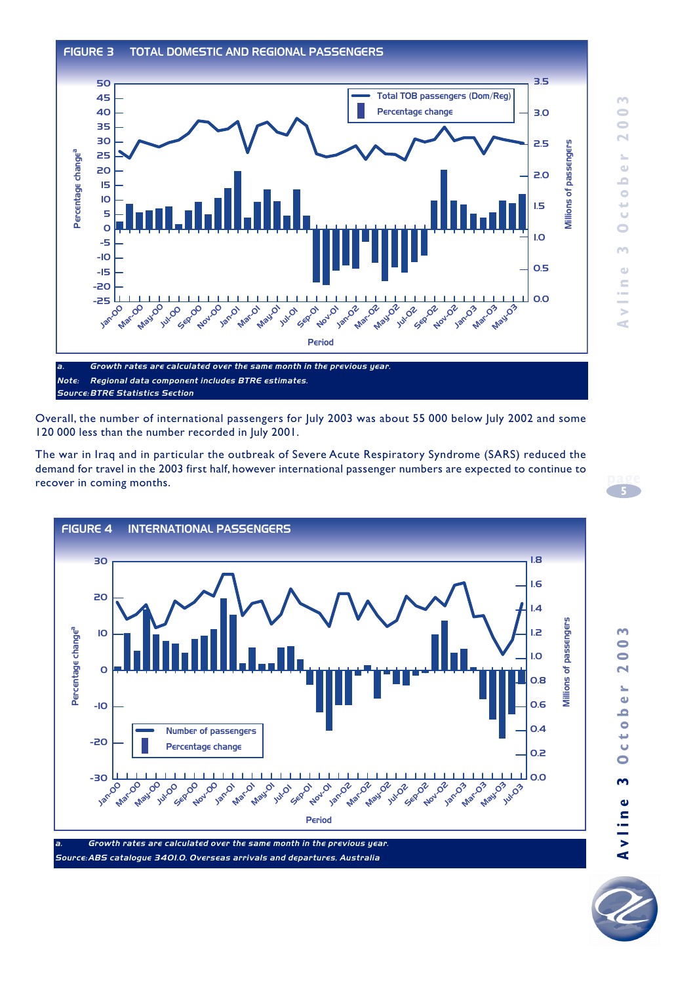

Overall, the number of international passengers for July 2003 was about 55 000 below July 2002 and some 120 000 less than the number recorded in July 2001.

The war in Iraq and in particular the outbreak of Severe Acute Respiratory Syndrome (SARS) reduced the demand for travel in the 2003 first half, however international passenger numbers are expected to continue to recover in coming months.



 $v \mathbf{li}$ 

¢

**Avline 3 October 2003**

 $\sim$ 

 $\bullet$  $\bullet$  $\overline{\mathbf{N}}$ 

 $\overline{\phantom{a}}$ d)  $\bullet$  $\ddot{\bullet}$  $\overline{\phantom{0}}$  $\ddot{\mathbf{C}}$  $\bullet$  $\sim$  $\ddot{\mathbf{v}}$ 

**page <sup>5</sup>**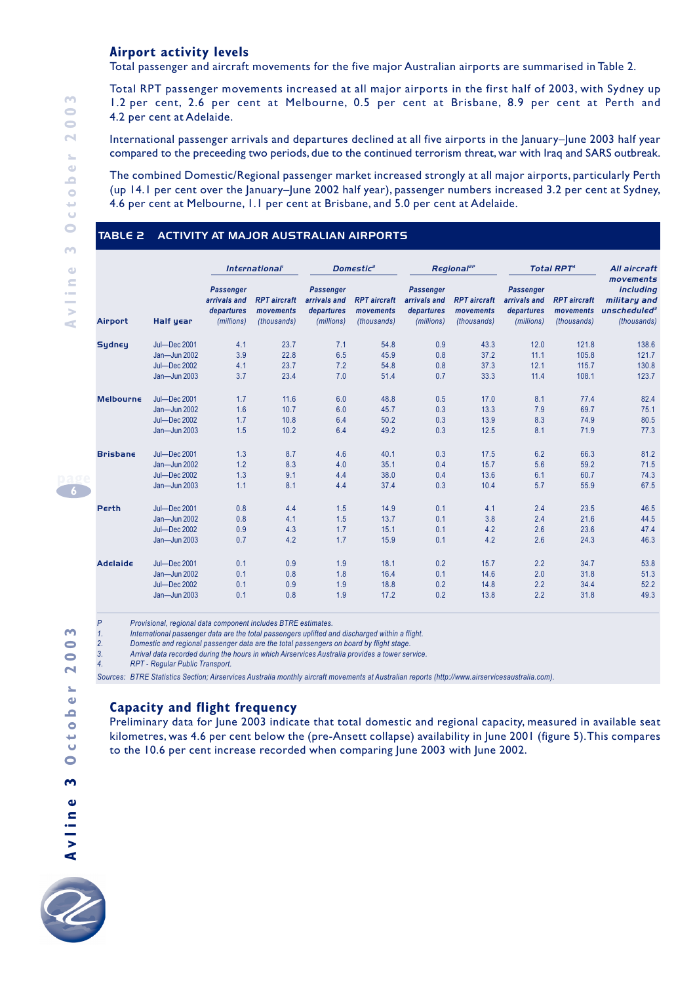#### **Airport activity levels**

Total passenger and aircraft movements for the five major Australian airports are summarised in Table 2.

Total RPT passenger movements increased at all major airports in the first half of 2003, with Sydney up 1.2 per cent, 2.6 per cent at Melbourne, 0.5 per cent at Brisbane, 8.9 per cent at Perth and 4.2 per cent at Adelaide.

International passenger arrivals and departures declined at all five airports in the January–June 2003 half year compared to the preceeding two periods, due to the continued terrorism threat, war with Iraq and SARS outbreak.

The combined Domestic/Regional passenger market increased strongly at all major airports, particularly Perth (up 14.1 per cent over the January–June 2002 half year), passenger numbers increased 3.2 per cent at Sydney, 4.6 per cent at Melbourne, 1.1 per cent at Brisbane, and 5.0 per cent at Adelaide.

#### TABLE 2 ACTIVITY AT MAJOR AUSTRALIAN AIRPORTS

| $\bigcirc$                             |                  |                     |                                                              | International'                                  |                                                              | <b>Domestic<sup>2</sup></b>                     |                                                              | Regional <sup>2P</sup>                          |                                                              | Total $RPT4$                                    | All aircraft                                                                      |
|----------------------------------------|------------------|---------------------|--------------------------------------------------------------|-------------------------------------------------|--------------------------------------------------------------|-------------------------------------------------|--------------------------------------------------------------|-------------------------------------------------|--------------------------------------------------------------|-------------------------------------------------|-----------------------------------------------------------------------------------|
| $\equiv$<br>$\sim$<br>$\geq$<br>$\leq$ | Airport          | Half year           | <b>Passenger</b><br>arrivals and<br>departures<br>(millions) | <b>RPT</b> aircraft<br>movements<br>(thousands) | <b>Passenger</b><br>arrivals and<br>departures<br>(millions) | <b>RPT</b> aircraft<br>movements<br>(thousands) | <b>Passenger</b><br>arrivals and<br>departures<br>(millions) | <b>RPT</b> aircraft<br>movements<br>(thousands) | <b>Passenger</b><br>arrivals and<br>departures<br>(millions) | <b>RPT</b> aircraft<br>movements<br>(thousands) | moverents<br>including<br>military and<br>unscheduled <sup>3</sup><br>(thousands) |
|                                        | <b>Sydney</b>    | <b>Jul-Dec 2001</b> | 4.1                                                          | 23.7                                            | 7.1                                                          | 54.8                                            | 0.9                                                          | 43.3                                            | 12.0                                                         | 121.8                                           | 138.6                                                                             |
|                                        |                  | Jan-Jun 2002        | 3.9                                                          | 22.8                                            | 6.5                                                          | 45.9                                            | 0.8                                                          | 37.2                                            | 11.1                                                         | 105.8                                           | 121.7                                                                             |
|                                        |                  | <b>Jul-Dec 2002</b> | 4.1                                                          | 23.7                                            | 7.2                                                          | 54.8                                            | 0.8                                                          | 37.3                                            | 12.1                                                         | 115.7                                           | 130.8                                                                             |
|                                        |                  | Jan-Jun 2003        | 3.7                                                          | 23.4                                            | 7.0                                                          | 51.4                                            | 0.7                                                          | 33.3                                            | 11.4                                                         | 108.1                                           | 123.7                                                                             |
|                                        | <b>Melbourne</b> | <b>Jul-Dec 2001</b> | 1.7                                                          | 11.6                                            | 6.0                                                          | 48.8                                            | 0.5                                                          | 17.0                                            | 8.1                                                          | 77.4                                            | 82.4                                                                              |
|                                        |                  | Jan-Jun 2002        | 1.6                                                          | 10.7                                            | 6.0                                                          | 45.7                                            | 0.3                                                          | 13.3                                            | 7.9                                                          | 69.7                                            | 75.1                                                                              |
|                                        |                  | <b>Jul-Dec 2002</b> | 1.7                                                          | 10.8                                            | 6.4                                                          | 50.2                                            | 0.3                                                          | 13.9                                            | 8.3                                                          | 74.9                                            | 80.5                                                                              |
|                                        |                  | Jan-Jun 2003        | 1.5                                                          | 10.2                                            | 6.4                                                          | 49.2                                            | 0.3                                                          | 12.5                                            | 8.1                                                          | 71.9                                            | 77.3                                                                              |
|                                        | <b>Brisbane</b>  | <b>Jul-Dec 2001</b> | 1.3                                                          | 8.7                                             | 4.6                                                          | 40.1                                            | 0.3                                                          | 17.5                                            | 6.2                                                          | 66.3                                            | 81.2                                                                              |
|                                        |                  | Jan-Jun 2002        | 1.2                                                          | 8.3                                             | 4.0                                                          | 35.1                                            | 0.4                                                          | 15.7                                            | 5.6                                                          | 59.2                                            | 71.5                                                                              |
|                                        |                  | <b>Jul-Dec 2002</b> | 1.3                                                          | 9.1                                             | 4.4                                                          | 38.0                                            | 0.4                                                          | 13.6                                            | 6.1                                                          | 60.7                                            | 74.3                                                                              |
|                                        |                  | Jan-Jun 2003        | 1.1                                                          | 8.1                                             | 4.4                                                          | 37.4                                            | 0.3                                                          | 10.4                                            | 5.7                                                          | 55.9                                            | 67.5                                                                              |
|                                        | Perth            | <b>Jul-Dec 2001</b> | 0.8                                                          | 4.4                                             | 1.5                                                          | 14.9                                            | 0.1                                                          | 4.1                                             | 2.4                                                          | 23.5                                            | 46.5                                                                              |
|                                        |                  | Jan-Jun 2002        | 0.8                                                          | 4.1                                             | 1.5                                                          | 13.7                                            | 0.1                                                          | 3.8                                             | 2.4                                                          | 21.6                                            | 44.5                                                                              |
|                                        |                  | <b>Jul-Dec 2002</b> | 0.9                                                          | 4.3                                             | 1.7                                                          | 15.1                                            | 0.1                                                          | 4.2                                             | 2.6                                                          | 23.6                                            | 47.4                                                                              |
|                                        |                  | Jan-Jun 2003        | 0.7                                                          | 4.2                                             | 1.7                                                          | 15.9                                            | 0.1                                                          | 4.2                                             | 2.6                                                          | 24.3                                            | 46.3                                                                              |
|                                        | Adelaide         | <b>Jul-Dec 2001</b> | 0.1                                                          | 0.9                                             | 1.9                                                          | 18.1                                            | 0.2                                                          | 15.7                                            | 2.2                                                          | 34.7                                            | 53.8                                                                              |
|                                        |                  | Jan-Jun 2002        | 0.1                                                          | 0.8                                             | 1.8                                                          | 16.4                                            | 0.1                                                          | 14.6                                            | 2.0                                                          | 31.8                                            | 51.3                                                                              |
|                                        |                  | <b>Jul-Dec 2002</b> | 0.1                                                          | 0.9                                             | 1.9                                                          | 18.8                                            | 0.2                                                          | 14.8                                            | 2.2                                                          | 34.4                                            | 52.2                                                                              |
|                                        |                  | Jan-Jun 2003        | 0.1                                                          | 0.8                                             | 1.9                                                          | 17.2                                            | 0.2                                                          | 13.8                                            | 2.2                                                          | 31.8                                            | 49.3                                                                              |

*P Provisional, regional data component includes BTRE estimates.*

*1. International passenger data are the total passengers uplifted and discharged within a flight.*

*2. Domestic and regional passenger data are the total passengers on board by flight stage.* 

*3. Arrival data recorded during the hours in which Airservices Australia provides a tower service.*

*4. RPT - Regular Public Transport.*

*Sources: BTRE Statistics Section; Airservices Australia monthly aircraft movements at Australian reports (http://www.airservicesaustralia.com).*

#### **Capacity and flight frequency**

Preliminary data for June 2003 indicate that total domestic and regional capacity, measured in available seat kilometres, was 4.6 per cent below the (pre-Ansett collapse) availability in June 2001 (figure 5).This compares to the 10.6 per cent increase recorded when comparing June 2003 with June 2002.

 $\sim$  $\bullet$  $\bullet$  $\overline{\mathbf{r}}$  $\mathbf{S}_{\mathbf{r}}$  $\bullet$  $\bullet$  $\bullet$  $\overline{\phantom{0}}$  $\ddot{\mathbf{u}}$  $\bullet$  $\mathbf{r}$ 

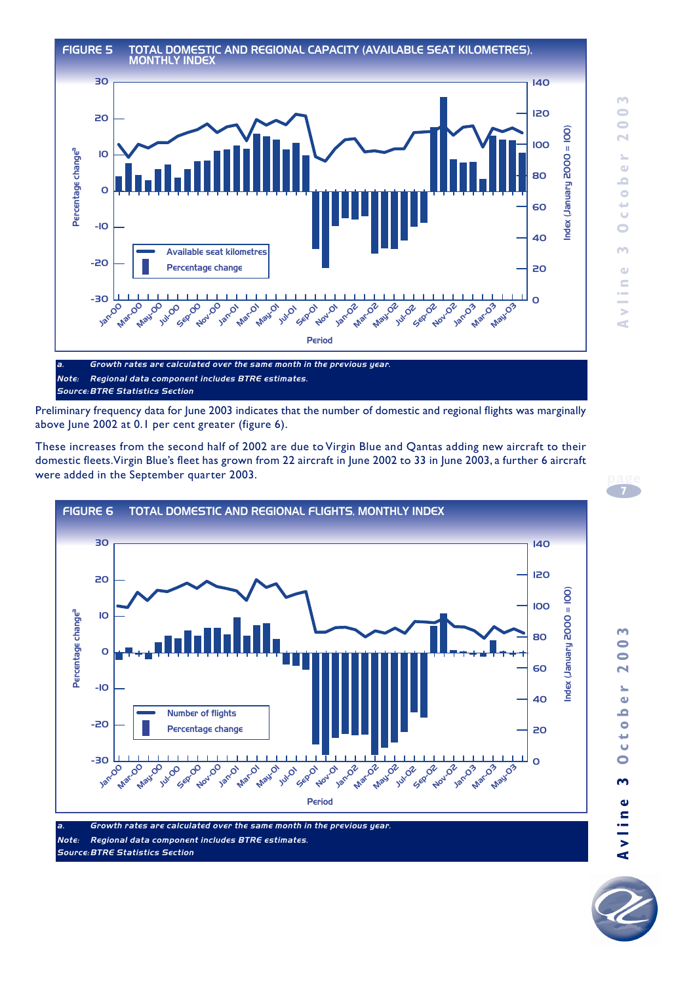

Preliminary frequency data for June 2003 indicates that the number of domestic and regional flights was marginally above June 2002 at 0.1 per cent greater (figure 6).

These increases from the second half of 2002 are due to Virgin Blue and Qantas adding new aircraft to their domestic fleets.Virgin Blue's fleet has grown from 22 aircraft in June 2002 to 33 in June 2003, a further 6 aircraft were added in the September quarter 2003.



Note: Regional data component includes BTRE estimates. Source:BTRE Statistics Section

**page <sup>7</sup>**

 $\sim$  $\bullet$ 

 $\bullet$  $\overline{\mathbf{N}}$ 

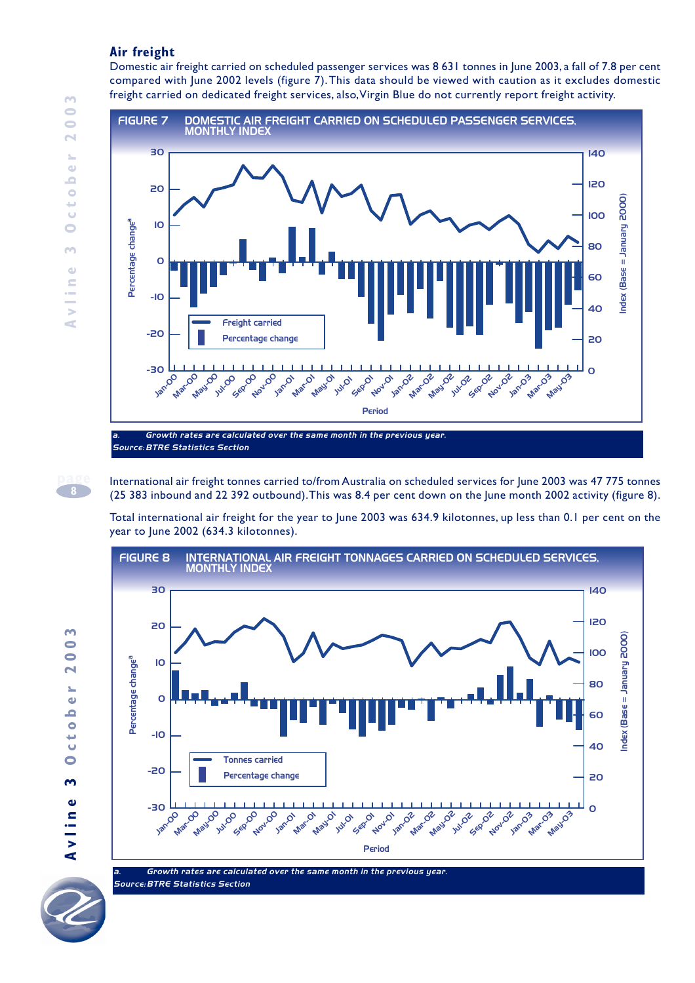#### **Air freight**

Domestic air freight carried on scheduled passenger services was 8 631 tonnes in June 2003, a fall of 7.8 per cent compared with June 2002 levels (figure 7).This data should be viewed with caution as it excludes domestic freight carried on dedicated freight services, also,Virgin Blue do not currently report freight activity.



International air freight tonnes carried to/from Australia on scheduled services for June 2003 was 47 775 tonnes (25 383 inbound and 22 392 outbound).This was 8.4 per cent down on the June month 2002 activity (figure 8).

Total international air freight for the year to June 2003 was 634.9 kilotonnes, up less than 0.1 per cent on the year to June 2002 (634.3 kilotonnes).



**page**

**8**

m

 $\bullet$  $\bullet$ 

 $\blacksquare$  $\mathbb{L}$  $\bullet$ 

> $\bullet$  $\bullet$

پ  $\ddot{\mathbf{C}}$  $\bullet$  $\sim$  $\bullet$ 

 $v$ lin

 $\blacktriangleleft$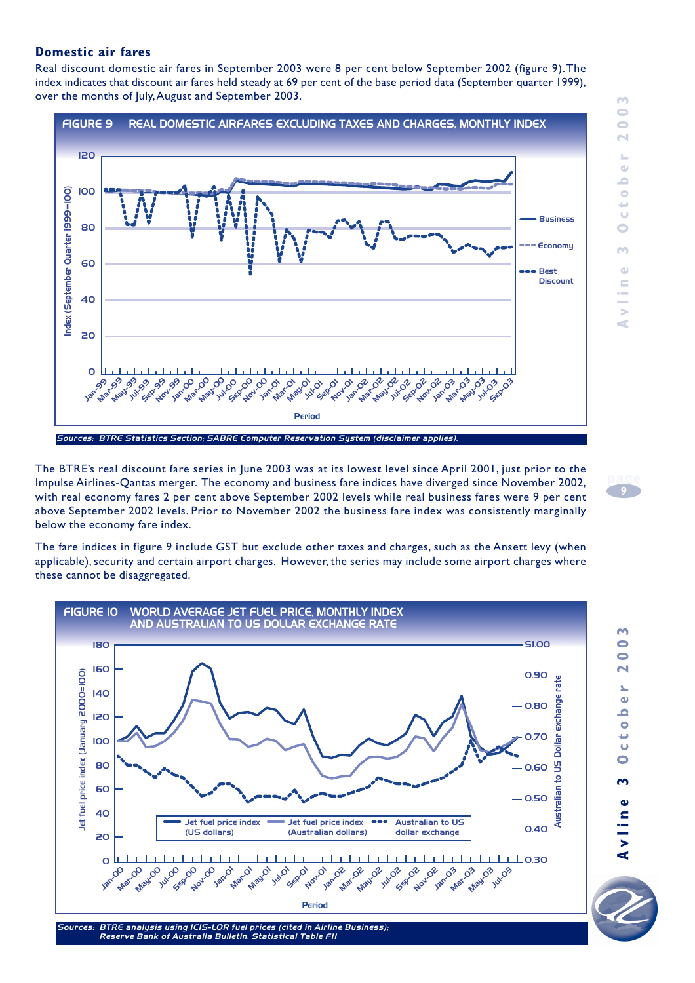#### **Domestic air fares**

Real discount domestic air fares in September 2003 were 8 per cent below September 2002 (figure 9).The index indicates that discount air fares held steady at 69 per cent of the base period data (September quarter 1999), over the months of July,August and September 2003.



The BTRE's real discount fare series in June 2003 was at its lowest level since April 2001, just prior to the Impulse Airlines-Qantas merger. The economy and business fare indices have diverged since November 2002, with real economy fares 2 per cent above September 2002 levels while real business fares were 9 per cent above September 2002 levels. Prior to November 2002 the business fare index was consistently marginally below the economy fare index.

The fare indices in figure 9 include GST but exclude other taxes and charges, such as the Ansett levy (when applicable), security and certain airport charges. However, the series may include some airport charges where these cannot be disaggregated.



m

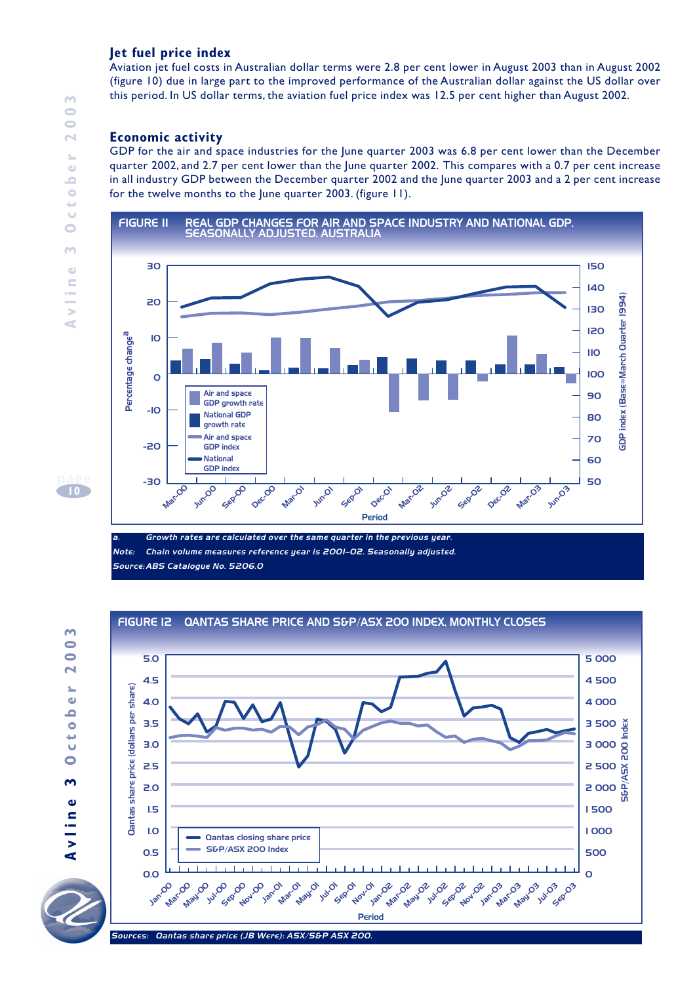#### **Jet fuel price index**

Aviation jet fuel costs in Australian dollar terms were 2.8 per cent lower in August 2003 than in August 2002 (figure 10) due in large part to the improved performance of the Australian dollar against the US dollar over this period. In US dollar terms, the aviation fuel price index was 12.5 per cent higher than August 2002.

#### **Economic activity**

GDP for the air and space industries for the June quarter 2003 was 6.8 per cent lower than the December quarter 2002, and 2.7 per cent lower than the June quarter 2002. This compares with a 0.7 per cent increase in all industry GDP between the December quarter 2002 and the June quarter 2003 and a 2 per cent increase for the twelve months to the June quarter 2003. (figure 11).



Source:ABS Catalogue No. 5206.0



**page**

**10**

 $\sim$  $\bullet$  $\bullet$  $\blacksquare$ 

> $\mathbb{Z}$  $\bullet$  $\bullet$  $\bullet$

> > پ

 $\bullet$  $\bullet$ 

 $\sim$ 

 $\bullet$ 

 $v$ lin

 $\blacktriangleleft$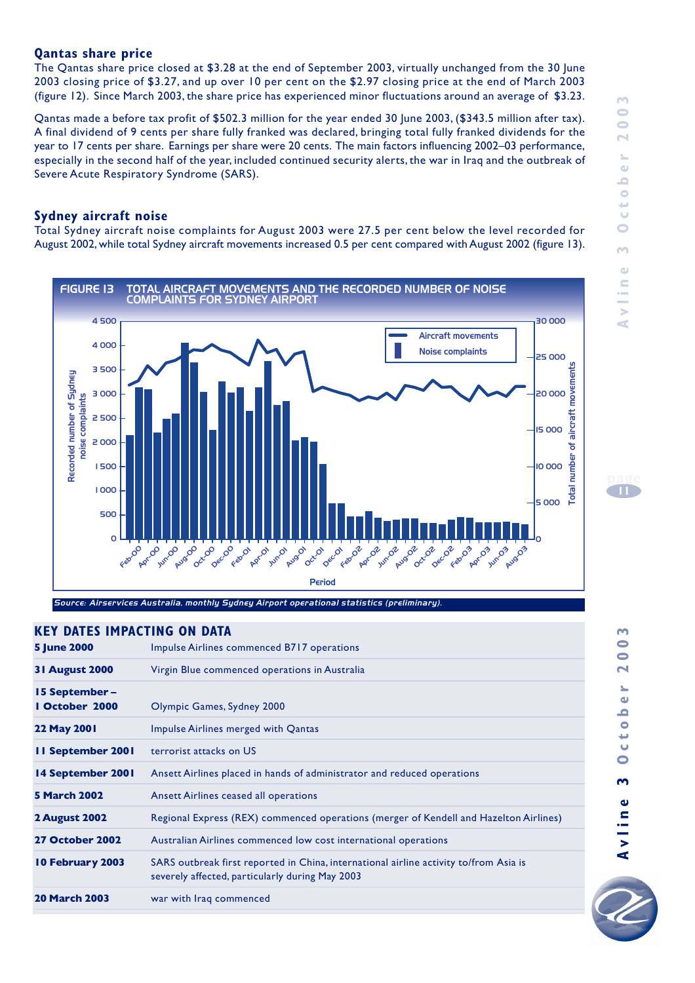#### m **Avline 3 October 2003**  $\bullet$  $\bullet$  $\sim$  $\mathbb{E}_{\mathbb{P}^1}$  $\omega$ م  $\bullet$  $\overline{\phantom{a}}$  $\cup$  $\bullet$  $\sim$  $\omega$  $\equiv$  $\sim$  $\geq$  $\prec$

### **page**

#### **Qantas share price**

The Qantas share price closed at \$3.28 at the end of September 2003, virtually unchanged from the 30 June 2003 closing price of \$3.27, and up over 10 per cent on the \$2.97 closing price at the end of March 2003 (figure 12). Since March 2003, the share price has experienced minor fluctuations around an average of \$3.23.

Qantas made a before tax profit of \$502.3 million for the year ended 30 June 2003, (\$343.5 million after tax). A final dividend of 9 cents per share fully franked was declared, bringing total fully franked dividends for the year to 17 cents per share. Earnings per share were 20 cents. The main factors influencing 2002–03 performance, especially in the second half of the year, included continued security alerts, the war in Iraq and the outbreak of Severe Acute Respiratory Syndrome (SARS).

#### **Sydney aircraft noise**

Total Sydney aircraft noise complaints for August 2003 were 27.5 per cent below the level recorded for August 2002, while total Sydney aircraft movements increased 0.5 per cent compared with August 2002 (figure 13).



Source: Airservices Australia, monthly Sydney Airport operational statistics (preliminary).

#### **KEY DATES IMPACTING ON DATA**

| <b>5 June 2000</b>                             | Impulse Airlines commenced B717 operations                                                                                               |
|------------------------------------------------|------------------------------------------------------------------------------------------------------------------------------------------|
| <b>31 August 2000</b>                          | Virgin Blue commenced operations in Australia                                                                                            |
| <b>15 September –</b><br><b>I October 2000</b> | Olympic Games, Sydney 2000                                                                                                               |
| 22 May 2001                                    | Impulse Airlines merged with Qantas                                                                                                      |
| II September 2001                              | terrorist attacks on US                                                                                                                  |
| 14 September 2001                              | Ansett Airlines placed in hands of administrator and reduced operations                                                                  |
| <b>5 March 2002</b>                            | Ansett Airlines ceased all operations                                                                                                    |
| <b>2 August 2002</b>                           | Regional Express (REX) commenced operations (merger of Kendell and Hazelton Airlines)                                                    |
| <b>27 October 2002</b>                         | Australian Airlines commenced low cost international operations                                                                          |
| 10 February 2003                               | SARS outbreak first reported in China, international airline activity to/from Asia is<br>severely affected, particularly during May 2003 |
| <b>20 March 2003</b>                           | war with Iraq commenced                                                                                                                  |



 $\sim$  $\bullet$  $\bullet$  $\overline{\mathbf{N}}$ 

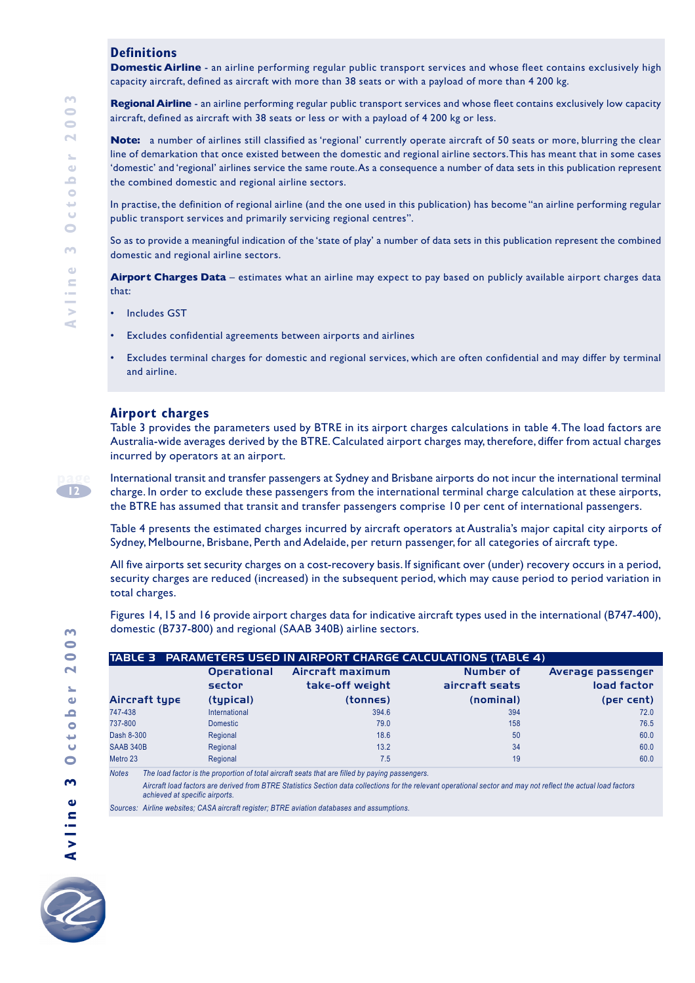#### **Definitions**

**Domestic Airline** - an airline performing regular public transport services and whose fleet contains exclusively high capacity aircraft, defined as aircraft with more than 38 seats or with a payload of more than 4 200 kg.

**Regional Airline** - an airline performing regular public transport services and whose fleet contains exclusively low capacity aircraft, defined as aircraft with 38 seats or less or with a payload of 4 200 kg or less.

**Note:** a number of airlines still classified as 'regional' currently operate aircraft of 50 seats or more, blurring the clear line of demarkation that once existed between the domestic and regional airline sectors.This has meant that in some cases 'domestic' and 'regional' airlines service the same route.As a consequence a number of data sets in this publication represent the combined domestic and regional airline sectors.

In practise, the definition of regional airline (and the one used in this publication) has become "an airline performing regular public transport services and primarily servicing regional centres".

So as to provide a meaningful indication of the 'state of play' a number of data sets in this publication represent the combined domestic and regional airline sectors.

**Airport Charges Data** – estimates what an airline may expect to pay based on publicly available airport charges data that:

- **Includes GST**
- Excludes confidential agreements between airports and airlines
- Excludes terminal charges for domestic and regional services, which are often confidential and may differ by terminal and airline.

#### **Airport charges**

Table 3 provides the parameters used by BTRE in its airport charges calculations in table 4.The load factors are Australia-wide averages derived by the BTRE. Calculated airport charges may, therefore, differ from actual charges incurred by operators at an airport.

International transit and transfer passengers at Sydney and Brisbane airports do not incur the international terminal charge. In order to exclude these passengers from the international terminal charge calculation at these airports, the BTRE has assumed that transit and transfer passengers comprise 10 per cent of international passengers.

Table 4 presents the estimated charges incurred by aircraft operators at Australia's major capital city airports of Sydney, Melbourne, Brisbane, Perth and Adelaide, per return passenger, for all categories of aircraft type.

All five airports set security charges on a cost-recovery basis. If significant over (under) recovery occurs in a period, security charges are reduced (increased) in the subsequent period, which may cause period to period variation in total charges.

Figures 14, 15 and 16 provide airport charges data for indicative aircraft types used in the international (B747-400), domestic (B737-800) and regional (SAAB 340B) airline sectors.

|               | <b>Operational</b> | Aircraft maximum | Number of      | Average passenger |
|---------------|--------------------|------------------|----------------|-------------------|
|               | <b>sector</b>      | take-off weight  | aircraft seats | load factor       |
| Aircraft type | (typical)          | (tonnes)         | (nominal)      | (per cent)        |
| 747-438       | International      | 394.6            | 394            | 72.0              |
| 737-800       | <b>Domestic</b>    | 79.0             | 158            | 76.5              |
| Dash 8-300    | Regional           | 18.6             | 50             | 60.0              |
| SAAB 340B     | Regional           | 13.2             | 34             | 60.0              |
| Metro 23      | Regional           | 7.5              | 19             | 60.0              |

*Notes The load factor is the proportion of total aircraft seats that are filled by paying passengers.* 

*Aircraft load factors are derived from BTRE Statistics Section data collections for the relevant operational sector and may not reflect the actual load factors achieved at specific airports.*

*Sources: Airline websites; CASA aircraft register; BTRE aviation databases and assumptions.*



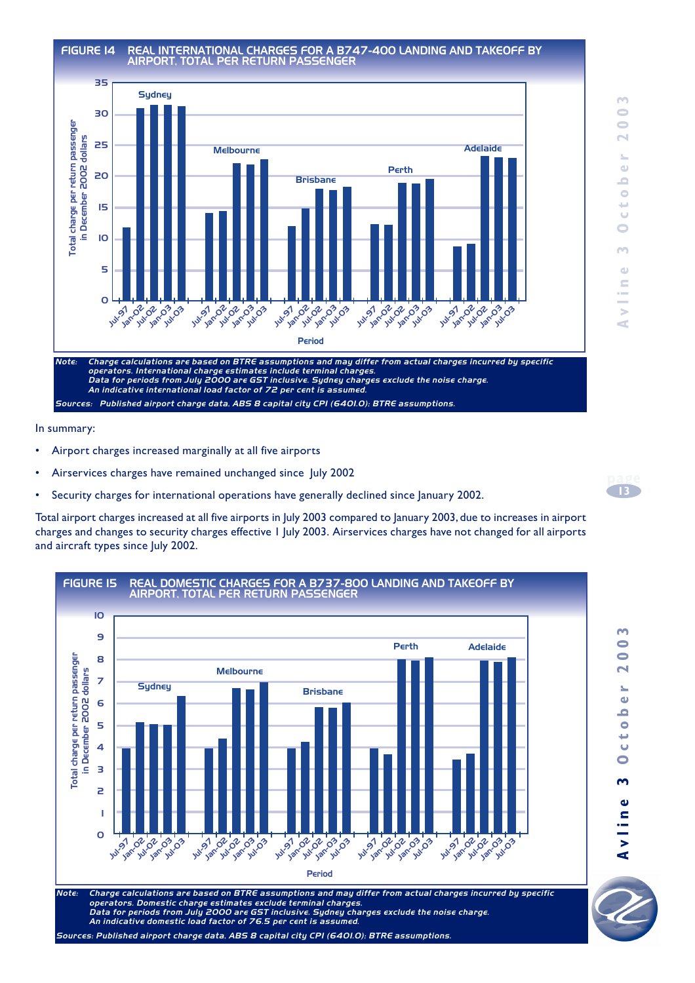

In summary:

- Airport charges increased marginally at all five airports
- Airservices charges have remained unchanged since July 2002
- Security charges for international operations have generally declined since January 2002.

Total airport charges increased at all five airports in July 2003 compared to January 2003, due to increases in airport charges and changes to security charges effective 1 July 2003. Airservices charges have not changed for all airports and aircraft types since July 2002.



**page 13**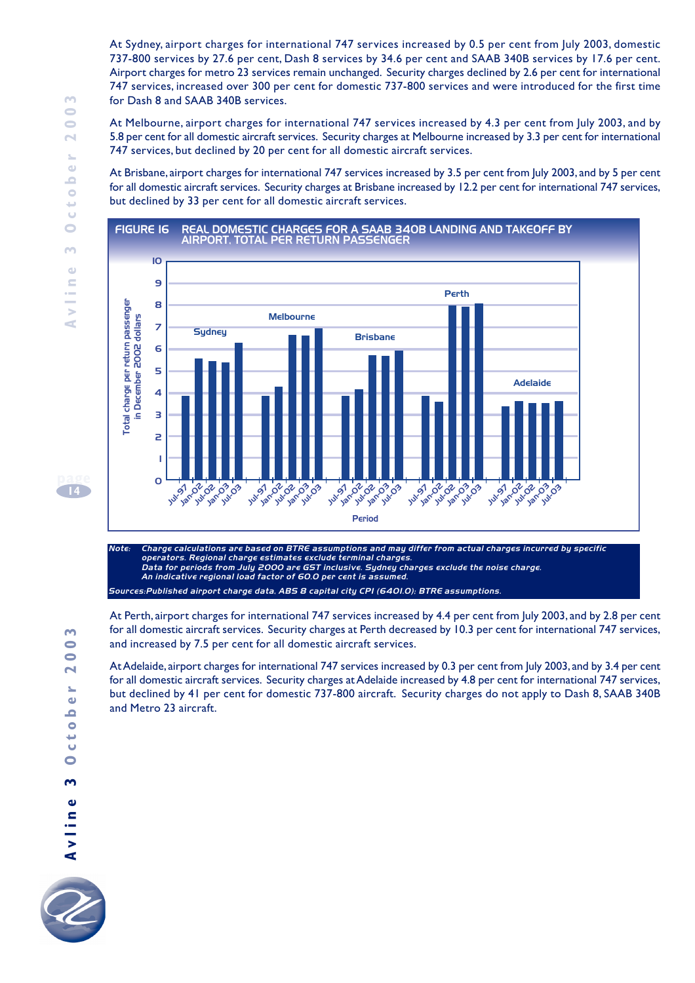At Sydney, airport charges for international 747 services increased by 0.5 per cent from July 2003, domestic 737-800 services by 27.6 per cent, Dash 8 services by 34.6 per cent and SAAB 340B services by 17.6 per cent. Airport charges for metro 23 services remain unchanged. Security charges declined by 2.6 per cent for international 747 services, increased over 300 per cent for domestic 737-800 services and were introduced for the first time for Dash 8 and SAAB 340B services.

At Melbourne, airport charges for international 747 services increased by 4.3 per cent from July 2003, and by 5.8 per cent for all domestic aircraft services. Security charges at Melbourne increased by 3.3 per cent for international 747 services, but declined by 20 per cent for all domestic aircraft services.

At Brisbane, airport charges for international 747 services increased by 3.5 per cent from July 2003, and by 5 per cent for all domestic aircraft services. Security charges at Brisbane increased by 12.2 per cent for international 747 services, but declined by 33 per cent for all domestic aircraft services.



operators. Regional charge estimates exclude terminal charges. Data for periods from July 2000 are GST inclusive. Sydney charges exclude the noise charge.

An indicative regional load factor of 60.0 per cent is assumed.

Sources:Published airport charge data, ABS 8 capital city CPI (6401.0); BTRE assumptions.

At Perth, airport charges for international 747 services increased by 4.4 per cent from July 2003, and by 2.8 per cent for all domestic aircraft services. Security charges at Perth decreased by 10.3 per cent for international 747 services, and increased by 7.5 per cent for all domestic aircraft services.

At Adelaide, airport charges for international 747 services increased by 0.3 per cent from July 2003, and by 3.4 per cent for all domestic aircraft services. Security charges at Adelaide increased by 4.8 per cent for international 747 services, but declined by 41 per cent for domestic 737-800 aircraft. Security charges do not apply to Dash 8, SAAB 340B and Metro 23 aircraft.

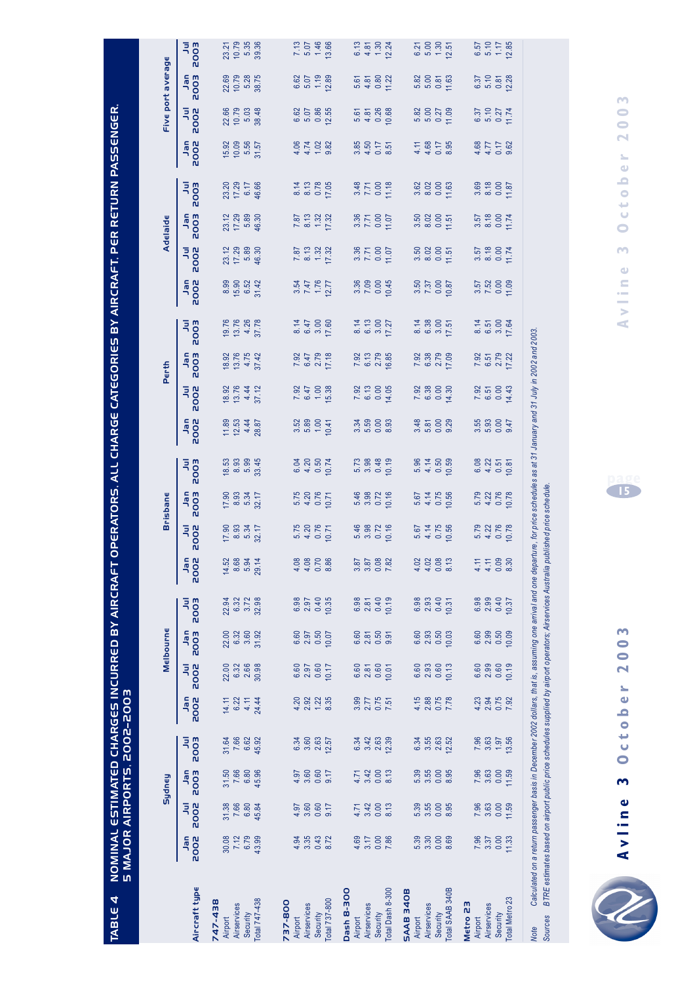| <b>TABLE 4</b>                                                              | 5 MAJOR                                                                                                                                                                                                                                             |                                       | AIRPORTS.                        |                                        | 2002                           | $EOCZ-$                               |                                     |                              | NOMINAL ESTIMATED CHARGES INCURRED BY AIRCRAFT |                                  | <b>DPERAT</b>                  |                                  |                               | CHARGE                                                            | 54                                     | EGORIES                         | ć                               |                                 |                                       |                                  |                         | <b>SSENGER</b>                          |                                 |                                 |                                        |
|-----------------------------------------------------------------------------|-----------------------------------------------------------------------------------------------------------------------------------------------------------------------------------------------------------------------------------------------------|---------------------------------------|----------------------------------|----------------------------------------|--------------------------------|---------------------------------------|-------------------------------------|------------------------------|------------------------------------------------|----------------------------------|--------------------------------|----------------------------------|-------------------------------|-------------------------------------------------------------------|----------------------------------------|---------------------------------|---------------------------------|---------------------------------|---------------------------------------|----------------------------------|-------------------------|-----------------------------------------|---------------------------------|---------------------------------|----------------------------------------|
|                                                                             |                                                                                                                                                                                                                                                     |                                       | Sydney                           |                                        |                                |                                       |                                     | <b>Melbourne</b>             |                                                |                                  |                                | Brisbane                         |                               |                                                                   |                                        | Perth                           |                                 |                                 |                                       | Adelaide                         |                         |                                         |                                 | Five port average               |                                        |
| Aircraft type                                                               |                                                                                                                                                                                                                                                     | 2002<br>Jan<br>2002                   | $\bar{z}$                        | E002<br>UPC                            | <b>EOO3</b><br>쿡               | 2002<br>Jan                           | 2002<br>耳                           | E002<br>UPC                  | <b>EOO3</b><br>콕                               | <b>SOOS</b><br>흑                 | <b>POOS</b>                    | E002                             | <b>EOO3</b><br>쿡              | soos<br>1905                                                      | 쿡<br>2002                              | E002                            | <b>EOO3</b><br>쿡                | 흓<br>2002                       | 2002<br>쿡                             | E002                             | <b>EOO3</b><br>쿡        | <b>SOOS</b>                             | <b>POOS</b>                     | E002                            | <b>EOO2</b>                            |
| Total 747-438<br>747-438<br>Airservices<br>Security<br>Airport              |                                                                                                                                                                                                                                                     | 30.08<br>7.12<br>6.79<br>43.99        | 31.38<br>7.66<br>6.80<br>45.84   | $31.56$<br>$7.66$<br>$6.89$<br>$45.46$ | 31.64<br>7.66<br>45.92         | $14.11$<br>$6.22$<br>$4.11$<br>$4.44$ | 00<br>00 32<br>00 30 30<br>00 30 30 | 22.32<br>0.32<br>3.52<br>3.7 | 23.94<br>6.37<br>9.72<br>92.98                 | $488374$<br>$48344$              | $17.90$<br>$8.34$<br>$5.32.17$ | $17.90$<br>8.93<br>9.34<br>92.17 | 18.53<br>8.93.45<br>13.33.45  | $11.89$<br>$12.53$<br>$4.43$<br>$28.87$                           | 18.92<br>13.76<br>4.44<br>37.12        | 18.92<br>13.76<br>4.75<br>37.42 | 19.76<br>13.76<br>37.78         | 8.90<br>15.90<br>51.42          | 23.12<br>17.29<br>46.30               | 23.12<br>17.29<br>46.30<br>46.30 | 23.20<br>17.29<br>46.66 | $15.92$<br>$10.09$<br>$5.50$<br>$31.57$ | 22.66<br>10.79<br>5.03<br>38.48 | 22.69<br>10.79<br>5.28<br>38.75 | 23.21<br>10.79<br>5.35<br>39.36        |
| Total 737-800<br>737-800<br>Airservices<br>Security<br>Airport              |                                                                                                                                                                                                                                                     | $4.3642$<br>$4.3642$<br>$8.72$        | 3.60<br>0.60<br>9.0<br>4.97      | $4.960$<br>$0.60$<br>$0.77$            | 6.34<br>3.60<br>2.67<br>12.57  | $3.828$<br>$3.28$<br>$4.35$           | 6.60<br>0.60<br>0.01<br>10.17       | 6.60<br>2.97<br>10.07        | 88<br>0.97<br>0.35<br>0.98                     | $4408$<br>$458$<br>$68$<br>$68$  | 5.75<br>4.20<br>10.71          | 5.75<br>4.20<br>10.71            | 6.04<br>4.20<br>10.74         | $3.89$<br>$5.89$<br>$6.41$<br>$10.41$                             | $7.92$<br>$6.47$<br>$1.00$<br>$1.5.38$ | 7.92<br>6.47<br>17.18           | 8.14<br>6.47<br>17.60           | $3.54$<br>7.47<br>1.76<br>12.77 | $7.87$<br>8.13<br>1.32<br>17.32       | 7.87<br>8.13<br>1.32<br>17.32    | 8.14<br>8.13<br>17.05   | $4708$<br>$4708$<br>$-98$               | 6.62<br>5.07<br>0.86<br>12.55   | 6.62<br>5.07<br>12.89           | $7.13$<br>5.07<br>13.66                |
| Total Dash 8-300<br><b>Dash 8-300</b><br>Airservices<br>Security<br>Airport |                                                                                                                                                                                                                                                     | 4.69<br>3.17<br>7.86                  | $3.42$<br>$0.6$<br>$0.3$<br>4.71 | $7.4000$<br>$4.4000$<br>$8.5$          | 6.34<br>6.42<br>6.39<br>0.2.39 | 3.99<br>2.75<br>7.51                  | $2.81$<br>$0.60$<br>$10.01$<br>6.60 | <b>6</b><br>១ ត 5<br>១ ត ១   | 88<br>881<br>90.19<br>90.19                    | 3.87<br>3.87<br>3.82<br>7.82     | 5.48<br>5.38<br>0.16<br>10.16  | 5.46<br>5.98<br>0.71<br>0.16     | $5.738$<br>$0.48$<br>$0.19$   |                                                                   | 7.92<br>6.13<br>0.00<br>14.05          | 7.92<br>6.13<br>16.85           | 8.14<br>6.13<br>17.27           | $3.36$<br>7.00<br>10.45         | 3.36<br>7.71<br>11.07                 | 3.36<br>7.71<br>11.07            | 3.48<br>7.71<br>11.18   | $3.85$<br>$4.5$<br>$0.5$<br>$8.5$       | 5.61<br>4.81<br>10.68           | 5.61<br>4.81<br>11.22           | $6.13$<br>$4.30$<br>$1.30$<br>$12.24$  |
| Total SAAB 340B<br><b>SAAB 340B</b><br>Airservices<br>Security<br>Airport   |                                                                                                                                                                                                                                                     |                                       |                                  |                                        | 6.34<br>6.56<br>6.32<br>0.21   | 4.15<br>2.88<br>7.78                  |                                     | 6.60<br>2.93<br>2.50<br>2.01 | 8<br>8 3 3 4 5<br>9 0 9 9                      | $3087$<br>$4087$<br>4.02         | 5.67<br>4.14<br>10.56<br>10.56 |                                  | 5.96<br>4.15<br>0.59<br>10.59 | 8<br>8 5 6 8 9<br>9 9 9 9                                         | 7.38<br>6.38<br>14.30                  | 7.38<br>6.38<br>17.09           | 8.14<br>6.38<br>17.51           | $3.50$<br>7.37<br>0.00<br>10.87 | 3.50<br>8.00 E                        | 3.50<br>8.02<br>11.51            | 3.62<br>8.02<br>11.63   | $4.1$<br>$4.68$<br>$0.1$<br>$0.95$      | 5.82<br>5.00<br>5.00<br>5.00    | 5.82<br>5.95<br>5.95<br>5.95    | 6.21<br>5.00<br>1.3.91<br>12.51        |
| <b>Total Metro 23</b><br>Metro 23<br>Airservices<br>Security<br>Airport     |                                                                                                                                                                                                                                                     | $7.96$<br>$3.37$<br>$0.00$<br>$11.33$ | $0.00$<br>11.59<br>7.96<br>3.63  |                                        | 7.96<br>3.63<br>1.97<br>13.56  | $4.23$<br>$2.34$<br>$7.92$<br>$7.92$  | 2.99<br>$0.60$<br>10.19<br>6.60     | ខេត្ត<br>និង<br>១០ ១         | 88<br>889<br>689<br>689                        | $4.709$<br>0.30<br>$\frac{1}{4}$ | 5.79<br>4.27<br>0.78           | 5.79<br>4.22<br>10.78            | 6.02<br>6.27<br>6.57<br>6.81  |                                                                   | $7.92$<br>6.51<br>6.00 4.3             | 7.92<br>6.57<br>7.22            | $8.5000$<br>$0.5000$<br>$0.500$ | 3.57<br>7.52<br>11.09           | $3.57$<br>$8.18$<br>$0.00$<br>$11.74$ | 3.57<br>8.18<br>11.74            | 3.69<br>8.18<br>11.87   | $4.77$<br>$4.77$<br>$0.62$              | 6.37<br>5.10<br>0.27<br>11.74   | 6.37<br>5.10<br>0.81<br>0.28    | $6.57$<br>$5.17$<br>$1.185$<br>$12.85$ |
| Sources<br><b>Note</b>                                                      | BTRE estimates based on airport public price schedules supplied by airport operators; Airservices Australia published price schedule<br>Calculated on a return passenger basis in December 2002 dollars, that is, assuming one arrival and one depo |                                       |                                  |                                        |                                |                                       |                                     |                              |                                                | arture,                          |                                |                                  |                               | for price schedules as at 31 January and 31 July in 2002 and 2003 |                                        |                                 |                                 |                                 |                                       |                                  |                         |                                         |                                 |                                 |                                        |

2003 **Avline 3 October 2003** October  $\overline{\mathbf{C}}$ Avline